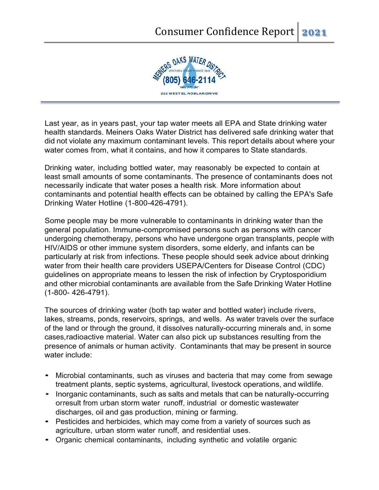

Last year, as in years past, your tap water meets all EPA and State drinking water health standards. Meiners Oaks Water District has delivered safe drinking water that did not violate any maximum contaminant levels. This report details about where your water comes from, what it contains, and how it compares to State standards.

Drinking water, including bottled water, may reasonably be expected to contain at least small amounts of some contaminants. The presence of contaminants does not necessarily indicate that water poses a health risk. More information about contaminants and potential health effects can be obtained by calling the EPA's Safe Drinking Water Hotline (1-800-426-4791).

Some people may be more vulnerable to contaminants in drinking water than the general population. Immune-compromised persons such as persons with cancer undergoing chemotherapy, persons who have undergone organ transplants, people with HIV/AIDS or other immune system disorders, some elderly, and infants can be particularly at risk from infections. These people should seek advice about drinking water from their health care providers USEPA/Centers for Disease Control (CDC) guidelines on appropriate means to lessen the risk of infection by Cryptosporidium and other microbial contaminants are available from the Safe Drinking Water Hotline (1-800- 426-4791).

The sources of drinking water (both tap water and bottled water) include rivers, lakes, streams, ponds, reservoirs, springs, and wells. As water travels over the surface of the land or through the ground, it dissolves naturally-occurring minerals and, in some cases,radioactive material. Water can also pick up substances resulting from the presence of animals or human activity. Contaminants that may be present in source water include:

- Microbial contaminants, such as viruses and bacteria that may come from sewage treatment plants, septic systems, agricultural, livestock operations, and wildlife.
- Inorganic contaminants, such as salts and metals that can be naturally-occurring orresult from urban storm water runoff, industrial or domestic wastewater discharges, oil and gas production, mining or farming.
- Pesticides and herbicides, which may come from a variety of sources such as agriculture, urban storm water runoff, and residential uses.
- Organic chemical contaminants, including synthetic and volatile organic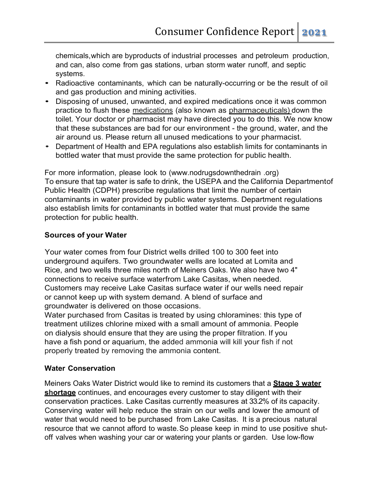chemicals,which are byproducts of industrial processes and petroleum production, and can, also come from gas stations, urban storm water runoff, and septic systems.

- Radioactive contaminants, which can be naturally-occurring or be the result of oil and gas production and mining activities.
- Disposing of unused, unwanted, and expired medications once it was common practice to flush these medications (also known as pharmaceuticals) down the toilet. Your doctor or pharmacist may have directed you to do this. We now know that these substances are bad for our environment - the ground, water, and the air around us. Please return all unused medications to your pharmacist.
- Department of Health and EPA regulations also establish limits for contaminants in bottled water that must provide the same protection for public health.

For more information, please look to (www.nodrugsdownthedrain .org) To ensure that tap water is safe to drink, the USEPA and the California Departmentof Public Health (CDPH) prescribe regulations that limit the number of certain contaminants in water provided by public water systems. Department regulations also establish limits for contaminants in bottled water that must provide the same protection for public health.

## **Sources of your Water**

Your water comes from four District wells drilled 100 to 300 feet into underground aquifers. Two groundwater wells are located at Lomita and Rice, and two wells three miles north of Meiners Oaks. We also have two 4" connections to receive surface waterfrom Lake Casitas, when needed. Customers may receive Lake Casitas surface water if our wells need repair or cannot keep up with system demand. A blend of surface and groundwater is delivered on those occasions.

Water purchased from Casitas is treated by using chloramines: this type of treatment utilizes chlorine mixed with a small amount of ammonia. People on dialysis should ensure that they are using the proper filtration. If you have a fish pond or aquarium, the added ammonia will kill your fish if not properly treated by removing the ammonia content.

### **Water Conservation**

Meiners Oaks Water District would like to remind its customers that a **Stage 3 water shortage** continues, and encourages every customer to stay diligent with their conservation practices. Lake Casitas currently measures at 33.2% of its capacity. Conserving water will help reduce the strain on our wells and lower the amount of water that would need to be purchased from Lake Casitas. It is a precious natural resource that we cannot afford to waste. So please keep in mind to use positive shutoff valves when washing your car or watering your plants or garden. Use low-flow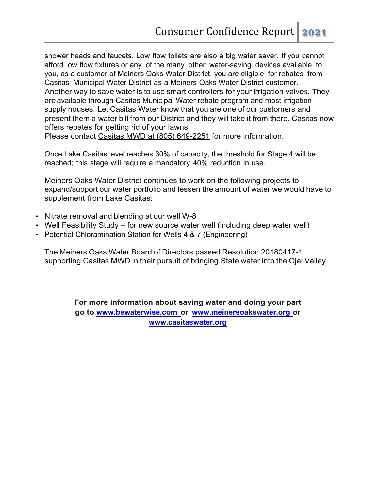shower heads and faucets. Low flow toilets are also a big water saver. If you cannot afford low flow fixtures or any of the many other water-saving devices available to you, as a customer of Meiners Oaks Water District, you are eligible for rebates from Casitas Municipal Water District as a Meiners Oaks Water District customer. Another way to save water is to use smart controllers for your irrigation valves. They are available through Casitas Municipal Water rebate program and most irrigation supply houses. Let Casitas Water know that you are one of our customers and present them a water bill from our District and they will take it from there. Casitas now offers rebates for getting rid of your lawns.

Please contact Casitas MWD at (805) 649-2251 for more information.

Once Lake Casitas level reaches 30% of capacity, the threshold for Stage 4 will be reached; this stage will require a mandatory 40% reduction in use.

Meiners Oaks Water District continues to work on the following projects to expand/support our water portfolio and lessen the amount of water we would have to supplement from Lake Casitas:

- Nitrate removal and blending at our well W-8
- Well Feasibility Study for new source water well (including deep water well)
- Potential Chloramination Station for Wells 4 & 7 (Engineering)

The Meiners Oaks Water Board of Directors passed Resolution 20180417-1 supporting Casitas MWD in their pursuit of bringing State water into the Ojai Valley.

> **For more information about saving water and doing your part go to www.bewaterwise.com or www.meinersoakswater.org or [www.casitaswater.org](http://www.casitaswater.org/)**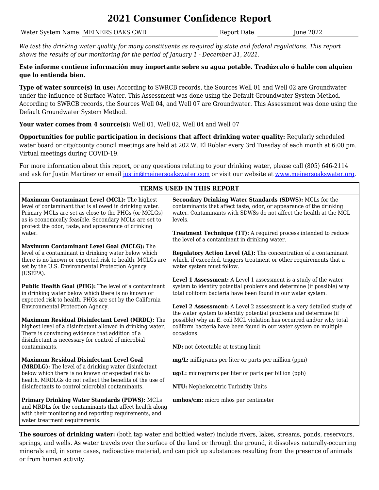## **2021 Consumer Confidence Report**

Water System Name: MEINERS OAKS CWD Report Date: June 2022

*We test the drinking water quality for many constituents as required by state and federal regulations. This report shows the results of our monitoring for the period of January 1 - December 31, 2021.*

### **Este informe contiene información muy importante sobre su agua potable. Tradúzcalo ó hable con alquien que lo entienda bien.**

**Type of water source(s) in use:** According to SWRCB records, the Sources Well 01 and Well 02 are Groundwater under the influence of Surface Water. This Assessment was done using the Default Groundwater System Method. According to SWRCB records, the Sources Well 04, and Well 07 are Groundwater. This Assessment was done using the Default Groundwater System Method.

## **Your water comes from 4 source(s):** Well 01, Well 02, Well 04 and Well 07

**Opportunities for public participation in decisions that affect drinking water quality:** Regularly scheduled water board or city/county council meetings are held at 202 W. El Roblar every 3rd Tuesday of each month at 6:00 pm. Virtual meetings during COVID-19.

For more information about this report, or any questions relating to your drinking water, please call (805) 646-2114 and ask for Justin Martinez or email [justin@meinersoakswater.com](mailto:justin@meinersoakswater.com) or visit our website at [www.meinersoakswater.org.](http://192.168.1.252/fgl/Page2/SectionCustomer/CCR/www.meinersoakswater.org)

| <b>TERMS USED IN THIS REPORT</b>                                                                                                                                                                                                                                                 |                                                                                                                                                                                                                                                                                                      |  |  |  |  |  |
|----------------------------------------------------------------------------------------------------------------------------------------------------------------------------------------------------------------------------------------------------------------------------------|------------------------------------------------------------------------------------------------------------------------------------------------------------------------------------------------------------------------------------------------------------------------------------------------------|--|--|--|--|--|
| Maximum Contaminant Level (MCL): The highest<br>level of contaminant that is allowed in drinking water.<br>Primary MCLs are set as close to the PHGs (or MCLGs)<br>as is economically feasible. Secondary MCLs are set to<br>protect the odor, taste, and appearance of drinking | Secondary Drinking Water Standards (SDWS): MCLs for the<br>contaminants that affect taste, odor, or appearance of the drinking<br>water. Contaminants with SDWSs do not affect the health at the MCL<br>levels.                                                                                      |  |  |  |  |  |
| water.                                                                                                                                                                                                                                                                           | <b>Treatment Technique (TT):</b> A required process intended to reduce<br>the level of a contaminant in drinking water.                                                                                                                                                                              |  |  |  |  |  |
| Maximum Contaminant Level Goal (MCLG): The<br>level of a contaminant in drinking water below which<br>there is no known or expected risk to health. MCLGs are<br>set by the U.S. Environmental Protection Agency<br>(USEPA).                                                     | Regulatory Action Level (AL): The concentration of a contaminant<br>which, if exceeded, triggers treatment or other requirements that a<br>water system must follow.                                                                                                                                 |  |  |  |  |  |
| Public Health Goal (PHG): The level of a contaminant<br>in drinking water below which there is no known or<br>expected risk to health. PHGs are set by the California                                                                                                            | Level 1 Assessment: A Level 1 assessment is a study of the water<br>system to identify potential problems and determine (if possible) why<br>total coliform bacteria have been found in our water system.                                                                                            |  |  |  |  |  |
| Environmental Protection Agency.<br>Maximum Residual Disinfectant Level (MRDL): The<br>highest level of a disinfectant allowed in drinking water.<br>There is convincing evidence that addition of a<br>disinfectant is necessary for control of microbial                       | Level 2 Assessment: A Level 2 assessment is a very detailed study of<br>the water system to identify potential problems and determine (if<br>possible) why an E. coli MCL violation has occurred and/or why total<br>coliform bacteria have been found in our water system on multiple<br>occasions. |  |  |  |  |  |
| contaminants.                                                                                                                                                                                                                                                                    | ND: not detectable at testing limit                                                                                                                                                                                                                                                                  |  |  |  |  |  |
| <b>Maximum Residual Disinfectant Level Goal</b><br>(MRDLG): The level of a drinking water disinfectant                                                                                                                                                                           | <b>mg/L:</b> milligrams per liter or parts per million (ppm)                                                                                                                                                                                                                                         |  |  |  |  |  |
| below which there is no known or expected risk to<br>health. MRDLGs do not reflect the benefits of the use of                                                                                                                                                                    | ug/L: micrograms per liter or parts per billion (ppb)                                                                                                                                                                                                                                                |  |  |  |  |  |
| disinfectants to control microbial contaminants.                                                                                                                                                                                                                                 | NTU: Nephelometric Turbidity Units                                                                                                                                                                                                                                                                   |  |  |  |  |  |
| <b>Primary Drinking Water Standards (PDWS): MCLs</b><br>and MRDLs for the contaminants that affect health along<br>with their monitoring and reporting requirements, and<br>water treatment requirements.                                                                        | umhos/cm: micro mhos per centimeter                                                                                                                                                                                                                                                                  |  |  |  |  |  |

**The sources of drinking water:** (both tap water and bottled water) include rivers, lakes, streams, ponds, reservoirs, springs, and wells. As water travels over the surface of the land or through the ground, it dissolves naturally-occurring minerals and, in some cases, radioactive material, and can pick up substances resulting from the presence of animals or from human activity.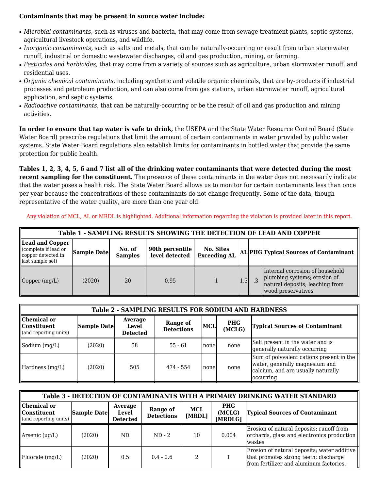### **Contaminants that may be present in source water include:**

- *Microbial contaminants,* such as viruses and bacteria, that may come from sewage treatment plants, septic systems, agricultural livestock operations, and wildlife.
- *Inorganic contaminants,* such as salts and metals, that can be naturally-occurring or result from urban stormwater runoff, industrial or domestic wastewater discharges, oil and gas production, mining, or farming.
- *Pesticides and herbicides,* that may come from a variety of sources such as agriculture, urban stormwater runoff, and residential uses.
- *Organic chemical contaminants,* including synthetic and volatile organic chemicals, that are by-products if industrial processes and petroleum production, and can also come from gas stations, urban stormwater runoff, agricultural application, and septic systems.
- *Radioactive contaminants,* that can be naturally-occurring or be the result of oil and gas production and mining activities.

**In order to ensure that tap water is safe to drink,** the USEPA and the State Water Resource Control Board (State Water Board) prescribe regulations that limit the amount of certain contaminants in water provided by public water systems. State Water Board regulations also establish limits for contaminants in bottled water that provide the same protection for public health.

**Tables 1, 2, 3, 4, 5, 6 and 7 list all of the drinking water contaminants that were detected during the most recent sampling for the constituent.** The presence of these contaminants in the water does not necessarily indicate that the water poses a health risk. The State Water Board allows us to monitor for certain contaminants less than once per year because the concentrations of these contaminants do not change frequently. Some of the data, though representative of the water quality, are more than one year old.

Any violation of MCL, AL or MRDL is highlighted. Additional information regarding the violation is provided later in this report.

| Table 1 - SAMPLING RESULTS SHOWING THE DETECTION OF LEAD AND COPPER               |             |                          |                                   |                                  |     |  |                                                                                                                          |  |
|-----------------------------------------------------------------------------------|-------------|--------------------------|-----------------------------------|----------------------------------|-----|--|--------------------------------------------------------------------------------------------------------------------------|--|
| Lead and Copper<br>(complete if lead or<br>copper detected in<br>last sample set) | Sample Date | No. of<br><b>Samples</b> | 90th percentile<br>level detected | No. Sites<br><b>Exceeding AL</b> |     |  | AL PHG Typical Sources of Contaminant                                                                                    |  |
| Copper (mg/L)                                                                     | (2020)      | 20                       | 0.95                              |                                  | 1.3 |  | Internal corrosion of household<br>plumbing systems; erosion of<br>natural deposits; leaching from<br>wood preservatives |  |

| <b>Table 2 - SAMPLING RESULTS FOR SODIUM AND HARDNESS</b>     |             |                                     |                               |            |                      |                                                                                                                                      |  |  |
|---------------------------------------------------------------|-------------|-------------------------------------|-------------------------------|------------|----------------------|--------------------------------------------------------------------------------------------------------------------------------------|--|--|
| Chemical or<br><b>I</b> IConstituent<br>(and reporting units) | Sample Date | Average<br>Level<br><b>Detected</b> | Range of<br><b>Detections</b> | <b>MCL</b> | <b>PHG</b><br>(MCLG) | <b>Typical Sources of Contaminant</b>                                                                                                |  |  |
| Sodium $(mg/L)$                                               | (2020)      | 58                                  | $55 - 61$                     | Inone      | none                 | Salt present in the water and is<br>generally naturally occurring                                                                    |  |  |
| Hardness (mg/L)                                               | (2020)      | 505                                 | 474 - 554                     | Inone      | none                 | Sum of polyvalent cations present in the<br>water, generally magnesium and<br>calcium, and are usually naturally<br><i>c</i> curring |  |  |

| Table 3 - DETECTION OF CONTAMINANTS WITH A PRIMARY DRINKING WATER STANDARD |             |                                     |                               |                      |                                 |                                                                                                                                 |  |  |
|----------------------------------------------------------------------------|-------------|-------------------------------------|-------------------------------|----------------------|---------------------------------|---------------------------------------------------------------------------------------------------------------------------------|--|--|
| Chemical or<br><b>I</b> IConstituent<br>(and reporting units)              | Sample Date | Average<br>Level<br><b>Detected</b> | Range of<br><b>Detections</b> | <b>MCL</b><br>[MRDL] | <b>PHG</b><br>(MCLG)<br>[MRDLG] | <b>Typical Sources of Contaminant</b>                                                                                           |  |  |
| $\Lambda$ rsenic (ug/L)                                                    | (2020)      | ND                                  | $ND - 2$                      | 10                   | 0.004                           | Erosion of natural deposits; runoff from<br>orchards, glass and electronics production<br>lwastes                               |  |  |
| $\parallel$ Fluoride (mg/L)                                                | (2020)      | 0.5                                 | $0.4 - 0.6$                   |                      |                                 | Erosion of natural deposits; water additive<br>that promotes strong teeth; discharge<br>from fertilizer and aluminum factories. |  |  |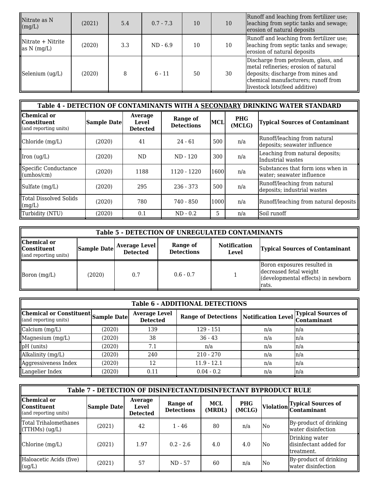| Nitrate as N<br>(mg/L)                        | (2021) | 5.4 | $0.7 - 7.3$ | 10 | 10 | Runoff and leaching from fertilizer use;<br>leaching from septic tanks and sewage;<br>erosion of natural deposits                                                                           |
|-----------------------------------------------|--------|-----|-------------|----|----|---------------------------------------------------------------------------------------------------------------------------------------------------------------------------------------------|
| $N$ itrate + Nitrite<br>as $N \text{ (mg/L)}$ | (2020) | 3.3 | $ND - 6.9$  | 10 | 10 | Runoff and leaching from fertilizer use;<br>leaching from septic tanks and sewage;<br>erosion of natural deposits                                                                           |
| Selenium (ug/L)                               | (2020) |     | $6 - 11$    | 50 | 30 | Discharge from petroleum, glass, and<br>metal refineries; erosion of natural<br>deposits; discharge from mines and<br>chemical manufacturers; runoff from<br>livestock lots (feed additive) |

| Table 4 - DETECTION OF CONTAMINANTS WITH A SECONDARY DRINKING WATER STANDARD |                    |                                     |                               |      |                      |                                                                 |  |  |  |
|------------------------------------------------------------------------------|--------------------|-------------------------------------|-------------------------------|------|----------------------|-----------------------------------------------------------------|--|--|--|
| Chemical or<br>  Constituent<br>(and reporting units)                        | <b>Sample Date</b> | Average<br>Level<br><b>Detected</b> | Range of<br><b>Detections</b> | MCL  | <b>PHG</b><br>(MCLG) | <b>Typical Sources of Contaminant</b>                           |  |  |  |
| Chloride (mg/L)                                                              | (2020)             | 41                                  | $24 - 61$                     | 500  | n/a                  | Runoff/leaching from natural<br>deposits; seawater influence    |  |  |  |
| $\vert$ Iron (ug/L)                                                          | (2020)             | ND.                                 | ND - 120                      | 300  | n/a                  | Leaching from natural deposits;<br>Industrial wastes            |  |  |  |
| Specific Conductance<br>(umbos/cm)                                           | (2020)             | 1188                                | 1120 - 1220                   | 1600 | n/a                  | Substances that form ions when in<br> water; seawater influence |  |  |  |
| Sulfate (mg/L)                                                               | (2020)             | 295                                 | $236 - 373$                   | 500  | n/a                  | Runoff/leaching from natural<br>deposits; industrial wastes     |  |  |  |
| <b>I</b> Total Dissolved Solids<br>$\parallel$ (mg/L)                        | (2020)             | 780                                 | 740 - 850                     | 1000 | n/a                  | Runoff/leaching from natural deposits                           |  |  |  |
| Turbidity (NTU)                                                              | (2020)             | 0.1                                 | $ND - 0.2$                    | 5.   | n/a                  | lSoil runoff                                                    |  |  |  |

| <b>Table 5 - DETECTION OF UNREGULATED CONTAMINANTS</b>                  |                                                                                                                                                                  |     |             |  |                                                                                                       |  |  |  |
|-------------------------------------------------------------------------|------------------------------------------------------------------------------------------------------------------------------------------------------------------|-----|-------------|--|-------------------------------------------------------------------------------------------------------|--|--|--|
| Chemical or<br><b>Constituent</b><br>$\mathbf{u}$ (and reporting units) | Range of<br><b>Notification</b><br><b>Average Level</b><br>Sample Date<br><b>Typical Sources of Contaminant</b><br><b>Detections</b><br><b>Detected</b><br>Level |     |             |  |                                                                                                       |  |  |  |
| Boron $(mg/L)$                                                          | (2020)                                                                                                                                                           | 0.7 | $0.6 - 0.7$ |  | Boron exposures resulted in<br>decreased fetal weight<br>(developmental effects) in newborn<br>lrats. |  |  |  |

| <b>Table 6 - ADDITIONAL DETECTIONS</b>                       |        |                                         |                                                           |     |         |  |  |  |  |
|--------------------------------------------------------------|--------|-----------------------------------------|-----------------------------------------------------------|-----|---------|--|--|--|--|
| Chemical or Constituent Sample Date<br>(and reporting units) |        | <b>Average Level</b><br><b>Detected</b> | Range of Detections Notification Level Typical Sources of |     |         |  |  |  |  |
| $\alpha$ calcium $(mg/L)$                                    | (2020) | 139                                     | $129 - 151$                                               | n/a | $\ln/a$ |  |  |  |  |
| Magnesium (mg/L)                                             | (2020) | 38                                      | $36 - 43$                                                 | n/a | $\ln/a$ |  |  |  |  |
| $\vert$ pH (units)                                           | (2020) | 7.1                                     | n/a                                                       | n/a | ln/a    |  |  |  |  |
| Alkalinity (mg/L)                                            | (2020) | 240                                     | $210 - 270$                                               | n/a | ln/a    |  |  |  |  |
| Aggressiveness Index                                         | (2020) | 12                                      | $11.9 - 12.1$                                             | n/a | ln/a    |  |  |  |  |
| Langelier Index                                              | (2020) | 0.11                                    | $0.04 - 0.2$                                              | n/a | ln/a    |  |  |  |  |

| Table 7 - DETECTION OF DISINFECTANT/DISINFECTANT BYPRODUCT RULE |                    |                                     |                               |                      |                      |           |                                                         |  |
|-----------------------------------------------------------------|--------------------|-------------------------------------|-------------------------------|----------------------|----------------------|-----------|---------------------------------------------------------|--|
| Chemical or<br>  Constituent<br>(and reporting units)           | <b>Sample Date</b> | Average<br>Level<br><b>Detected</b> | Range of<br><b>Detections</b> | <b>MCL</b><br>(MRDL) | <b>PHG</b><br>(MCLG) | Violation | <b>Typical Sources of</b><br><b>Contaminant</b>         |  |
| Total Trihalomethanes<br>$\Gamma$ [THMs] (ug/L)                 | (2021)             | 42                                  | $1 - 46$                      | 80                   | n/a                  | No        | By-product of drinking<br>water disinfection            |  |
| Chlorine (mg/L)                                                 | (2021)             | 1.97                                | $0.2 - 2.6$                   | 4.0                  | 4.0                  | N0.       | Drinking water<br>disinfectant added for<br>ltreatment. |  |
| Haloacetic Acids (five)<br>(ug/L)                               | (2021)             | 57                                  | ND - 57                       | 60                   | n/a                  | N0.       | By-product of drinking<br>lwater disinfection           |  |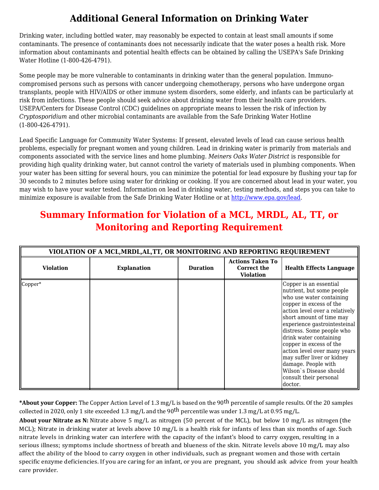# **Additional General Information on Drinking Water**

Drinking water, including bottled water, may reasonably be expected to contain at least small amounts if some contaminants. The presence of contaminants does not necessarily indicate that the water poses a health risk. More information about contaminants and potential health effects can be obtained by calling the USEPA's Safe Drinking Water Hotline (1-800-426-4791).

Some people may be more vulnerable to contaminants in drinking water than the general population. Immunocompromised persons such as persons with cancer undergoing chemotherapy, persons who have undergone organ transplants, people with HIV/AIDS or other immune system disorders, some elderly, and infants can be particularly at risk from infections. These people should seek advice about drinking water from their health care providers. USEPA/Centers for Disease Control (CDC) guidelines on appropriate means to lessen the risk of infection by *Cryptosporidium* and other microbial contaminants are available from the Safe Drinking Water Hotline (1-800-426-4791).

Lead Specific Language for Community Water Systems: If present, elevated levels of lead can cause serious health problems, especially for pregnant women and young children. Lead in drinking water is primarily from materials and components associated with the service lines and home plumbing. *Meiners Oaks Water District* is responsible for providing high quality drinking water, but cannot control the variety of materials used in plumbing components. When your water has been sitting for several hours, you can minimize the potential for lead exposure by flushing your tap for 30 seconds to 2 minutes before using water for drinking or cooking. If you are concerned about lead in your water, you may wish to have your water tested. Information on lead in drinking water, testing methods, and steps you can take to minimize exposure is available from the Safe Drinking Water Hotline or at [http://www.epa.gov/lead.](http://www.epa.gov/safewater/lead)

# **Summary Information for Violation of a MCL, MRDL, AL, TT, or Monitoring and Reporting Requirement**

|                  | VIOLATION OF A MCL, MRDL, AL, TT, OR MONITORING AND REPORTING REQUIREMENT |                 |                                                            |                                                                                                                                                                                                                                                                                                                                                                                                                                                 |  |  |  |  |  |  |
|------------------|---------------------------------------------------------------------------|-----------------|------------------------------------------------------------|-------------------------------------------------------------------------------------------------------------------------------------------------------------------------------------------------------------------------------------------------------------------------------------------------------------------------------------------------------------------------------------------------------------------------------------------------|--|--|--|--|--|--|
| <b>Violation</b> | <b>Explanation</b>                                                        | <b>Duration</b> | <b>Actions Taken To</b><br>Correct the<br><b>Violation</b> | <b>Health Effects Language</b>                                                                                                                                                                                                                                                                                                                                                                                                                  |  |  |  |  |  |  |
| Copper*          |                                                                           |                 |                                                            | Copper is an essential<br>nutrient, but some people<br>who use water containing<br>copper in excess of the<br>action level over a relatively<br>short amount of time may<br>experience gastrointesteinal<br>distress. Some people who<br>drink water containing<br>copper in excess of the<br>action level over many years<br>may suffer liver or kidney<br>damage. People with<br>Wilson's Disease should<br>consult their personal<br>doctor. |  |  |  |  |  |  |

**\*About your Copper:** The Copper Action Level of 1.3 mg/L is based on the 90th percentile of sample results. Of the 20 samples collected in 2020, only 1 site exceeded 1.3 mg/L and the 90<sup>th</sup> percentile was under 1.3 mg/L at 0.95 mg/L.

**About your Nitrate as N:** Nitrate above 5 mg/L as nitrogen (50 percent of the MCL), but below 10 mg/L as nitrogen (the MCL); Nitrate in drinking water at levels above 10 mg/L is a health risk for infants of less than six months of age. Such nitrate levels in drinking water can interfere with the capacity of the infant's blood to carry oxygen, resulting in a serious illness; symptoms include shortness of breath and blueness of the skin. Nitrate levels above 10 mg/L may also affect the ability of the blood to carry oxygen in other individuals, such as pregnant women and those with certain specific enzyme deficiencies. If you are caring for an infant, or you are pregnant, you should ask advice from your health care provider.